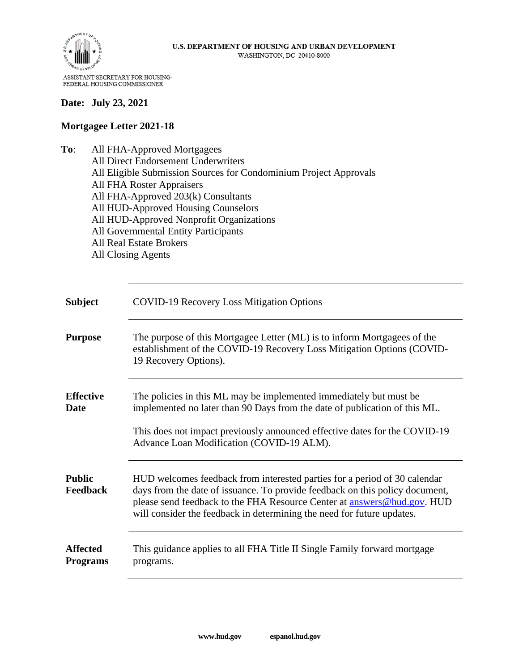

#### **Date: July 23, 2021**

#### **Mortgagee Letter 2021-18**

**To**: All FHA-Approved Mortgagees All Direct Endorsement Underwriters All Eligible Submission Sources for Condominium Project Approvals All FHA Roster Appraisers All FHA-Approved 203(k) Consultants All HUD-Approved Housing Counselors All HUD-Approved Nonprofit Organizations All Governmental Entity Participants All Real Estate Brokers All Closing Agents

| <b>Subject</b>                   | <b>COVID-19 Recovery Loss Mitigation Options</b>                                                                                                                                                                                                                                                               |
|----------------------------------|----------------------------------------------------------------------------------------------------------------------------------------------------------------------------------------------------------------------------------------------------------------------------------------------------------------|
| <b>Purpose</b>                   | The purpose of this Mortgagee Letter (ML) is to inform Mortgagees of the<br>establishment of the COVID-19 Recovery Loss Mitigation Options (COVID-<br>19 Recovery Options).                                                                                                                                    |
| <b>Effective</b><br>Date         | The policies in this ML may be implemented immediately but must be<br>implemented no later than 90 Days from the date of publication of this ML.<br>This does not impact previously announced effective dates for the COVID-19<br>Advance Loan Modification (COVID-19 ALM).                                    |
| <b>Public</b><br><b>Feedback</b> | HUD welcomes feedback from interested parties for a period of 30 calendar<br>days from the date of issuance. To provide feedback on this policy document,<br>please send feedback to the FHA Resource Center at answers@hud.gov. HUD<br>will consider the feedback in determining the need for future updates. |
| <b>Affected</b><br>Programs      | This guidance applies to all FHA Title II Single Family forward mortgage<br>programs.                                                                                                                                                                                                                          |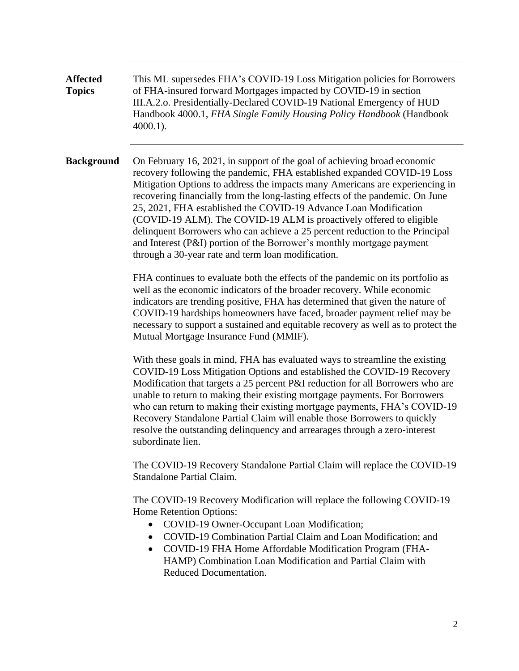**Affected Topics** This ML supersedes FHA's COVID-19 Loss Mitigation policies for Borrowers of FHA-insured forward Mortgages impacted by COVID-19 in section III.A.2.o. Presidentially-Declared COVID-19 National Emergency of HUD Handbook 4000.1, *FHA Single Family Housing Policy Handbook* (Handbook 4000.1).

**Background** On February 16, 2021, in support of the goal of achieving broad economic recovery following the pandemic, FHA established expanded COVID-19 Loss Mitigation Options to address the impacts many Americans are experiencing in recovering financially from the long-lasting effects of the pandemic. On June 25, 2021, FHA established the COVID-19 Advance Loan Modification (COVID-19 ALM). The COVID-19 ALM is proactively offered to eligible delinquent Borrowers who can achieve a 25 percent reduction to the Principal and Interest (P&I) portion of the Borrower's monthly mortgage payment through a 30-year rate and term loan modification.

> FHA continues to evaluate both the effects of the pandemic on its portfolio as well as the economic indicators of the broader recovery. While economic indicators are trending positive, FHA has determined that given the nature of COVID-19 hardships homeowners have faced, broader payment relief may be necessary to support a sustained and equitable recovery as well as to protect the Mutual Mortgage Insurance Fund (MMIF).

> With these goals in mind, FHA has evaluated ways to streamline the existing COVID-19 Loss Mitigation Options and established the COVID-19 Recovery Modification that targets a 25 percent P&I reduction for all Borrowers who are unable to return to making their existing mortgage payments. For Borrowers who can return to making their existing mortgage payments, FHA's COVID-19 Recovery Standalone Partial Claim will enable those Borrowers to quickly resolve the outstanding delinquency and arrearages through a zero-interest subordinate lien.

> The COVID-19 Recovery Standalone Partial Claim will replace the COVID-19 Standalone Partial Claim.

The COVID-19 Recovery Modification will replace the following COVID-19 Home Retention Options:

- COVID-19 Owner-Occupant Loan Modification;
- COVID-19 Combination Partial Claim and Loan Modification; and
- COVID-19 FHA Home Affordable Modification Program (FHA-HAMP) Combination Loan Modification and Partial Claim with Reduced Documentation.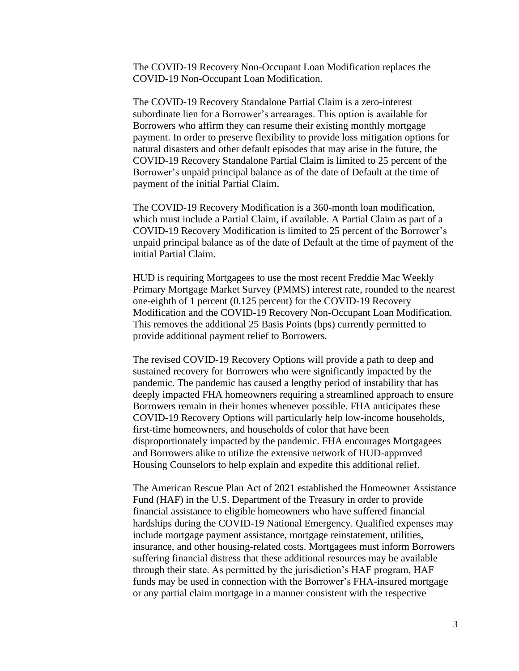The COVID-19 Recovery Non-Occupant Loan Modification replaces the COVID-19 Non-Occupant Loan Modification.

The COVID-19 Recovery Standalone Partial Claim is a zero-interest subordinate lien for a Borrower's arrearages. This option is available for Borrowers who affirm they can resume their existing monthly mortgage payment. In order to preserve flexibility to provide loss mitigation options for natural disasters and other default episodes that may arise in the future, the COVID-19 Recovery Standalone Partial Claim is limited to 25 percent of the Borrower's unpaid principal balance as of the date of Default at the time of payment of the initial Partial Claim.

The COVID-19 Recovery Modification is a 360-month loan modification, which must include a Partial Claim, if available. A Partial Claim as part of a COVID-19 Recovery Modification is limited to 25 percent of the Borrower's unpaid principal balance as of the date of Default at the time of payment of the initial Partial Claim.

HUD is requiring Mortgagees to use the most recent Freddie Mac Weekly Primary Mortgage Market Survey (PMMS) interest rate, rounded to the nearest one-eighth of 1 percent (0.125 percent) for the COVID-19 Recovery Modification and the COVID-19 Recovery Non-Occupant Loan Modification. This removes the additional 25 Basis Points (bps) currently permitted to provide additional payment relief to Borrowers.

The revised COVID-19 Recovery Options will provide a path to deep and sustained recovery for Borrowers who were significantly impacted by the pandemic. The pandemic has caused a lengthy period of instability that has deeply impacted FHA homeowners requiring a streamlined approach to ensure Borrowers remain in their homes whenever possible. FHA anticipates these COVID-19 Recovery Options will particularly help low-income households, first-time homeowners, and households of color that have been disproportionately impacted by the pandemic. FHA encourages Mortgagees and Borrowers alike to utilize the extensive network of HUD-approved Housing Counselors to help explain and expedite this additional relief.

The American Rescue Plan Act of 2021 established the Homeowner Assistance Fund (HAF) in the U.S. Department of the Treasury in order to provide financial assistance to eligible homeowners who have suffered financial hardships during the COVID-19 National Emergency. Qualified expenses may include mortgage payment assistance, mortgage reinstatement, utilities, insurance, and other housing-related costs. Mortgagees must inform Borrowers suffering financial distress that these additional resources may be available through their state. As permitted by the jurisdiction's HAF program, HAF funds may be used in connection with the Borrower's FHA-insured mortgage or any partial claim mortgage in a manner consistent with the respective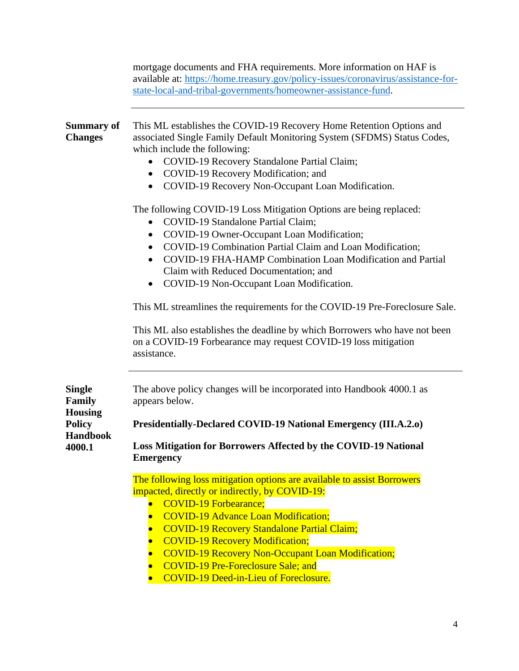|                                                                                  | mortgage documents and FHA requirements. More information on HAF is<br>available at: https://home.treasury.gov/policy-issues/coronavirus/assistance-for-<br>state-local-and-tribal-governments/homeowner-assistance-fund.                                                                                                                                                                                                                                                                                                                                                                                                        |  |  |  |
|----------------------------------------------------------------------------------|----------------------------------------------------------------------------------------------------------------------------------------------------------------------------------------------------------------------------------------------------------------------------------------------------------------------------------------------------------------------------------------------------------------------------------------------------------------------------------------------------------------------------------------------------------------------------------------------------------------------------------|--|--|--|
| <b>Summary of</b><br><b>Changes</b>                                              | This ML establishes the COVID-19 Recovery Home Retention Options and<br>associated Single Family Default Monitoring System (SFDMS) Status Codes,<br>which include the following:<br>COVID-19 Recovery Standalone Partial Claim;<br>$\bullet$<br>COVID-19 Recovery Modification; and<br>COVID-19 Recovery Non-Occupant Loan Modification.<br>$\bullet$                                                                                                                                                                                                                                                                            |  |  |  |
|                                                                                  | The following COVID-19 Loss Mitigation Options are being replaced:<br>COVID-19 Standalone Partial Claim;<br>$\bullet$<br>COVID-19 Owner-Occupant Loan Modification;<br>$\bullet$<br>COVID-19 Combination Partial Claim and Loan Modification;<br>COVID-19 FHA-HAMP Combination Loan Modification and Partial<br>Claim with Reduced Documentation; and<br>COVID-19 Non-Occupant Loan Modification.<br>This ML streamlines the requirements for the COVID-19 Pre-Foreclosure Sale.<br>This ML also establishes the deadline by which Borrowers who have not been<br>on a COVID-19 Forbearance may request COVID-19 loss mitigation |  |  |  |
| <b>Single</b><br>Family<br><b>Housing</b><br>Policy<br><b>Handbook</b><br>4000.1 | assistance.<br>The above policy changes will be incorporated into Handbook 4000.1 as<br>appears below.<br>Presidentially-Declared COVID-19 National Emergency (III.A.2.o)<br>Loss Mitigation for Borrowers Affected by the COVID-19 National<br><b>Emergency</b>                                                                                                                                                                                                                                                                                                                                                                 |  |  |  |
|                                                                                  | The following loss mitigation options are available to assist Borrowers<br>impacted, directly or indirectly, by COVID-19:<br><b>COVID-19 Forbearance;</b><br><b>COVID-19 Advance Loan Modification;</b><br>$\bullet$<br><b>COVID-19 Recovery Standalone Partial Claim;</b><br>$\bullet$<br><b>COVID-19 Recovery Modification;</b><br><b>COVID-19 Recovery Non-Occupant Loan Modification;</b><br>$\bullet$<br><b>COVID-19 Pre-Foreclosure Sale; and</b><br><b>COVID-19 Deed-in-Lieu of Foreclosure.</b>                                                                                                                          |  |  |  |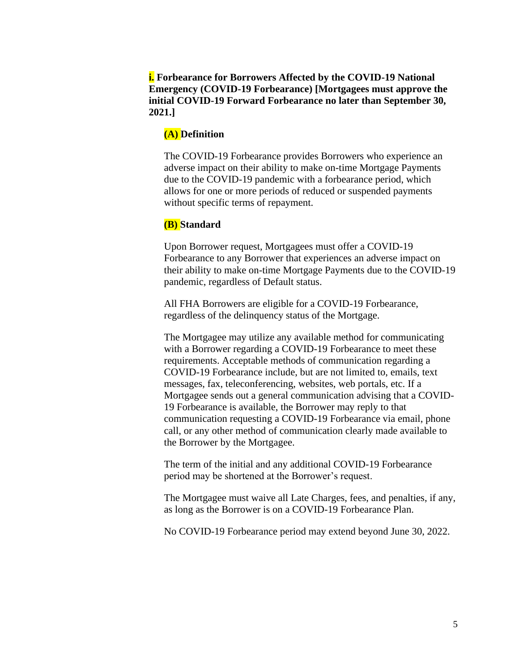**i. Forbearance for Borrowers Affected by the COVID-19 National Emergency (COVID-19 Forbearance) [Mortgagees must approve the initial COVID-19 Forward Forbearance no later than September 30, 2021.]**

#### **(A) Definition**

The COVID-19 Forbearance provides Borrowers who experience an adverse impact on their ability to make on-time Mortgage Payments due to the COVID-19 pandemic with a forbearance period, which allows for one or more periods of reduced or suspended payments without specific terms of repayment.

#### **(B) Standard**

Upon Borrower request, Mortgagees must offer a COVID-19 Forbearance to any Borrower that experiences an adverse impact on their ability to make on-time Mortgage Payments due to the COVID-19 pandemic, regardless of Default status.

All FHA Borrowers are eligible for a COVID-19 Forbearance, regardless of the delinquency status of the Mortgage.

The Mortgagee may utilize any available method for communicating with a Borrower regarding a COVID-19 Forbearance to meet these requirements. Acceptable methods of communication regarding a COVID-19 Forbearance include, but are not limited to, emails, text messages, fax, teleconferencing, websites, web portals, etc. If a Mortgagee sends out a general communication advising that a COVID-19 Forbearance is available, the Borrower may reply to that communication requesting a COVID-19 Forbearance via email, phone call, or any other method of communication clearly made available to the Borrower by the Mortgagee.

The term of the initial and any additional COVID-19 Forbearance period may be shortened at the Borrower's request.

The Mortgagee must waive all Late Charges, fees, and penalties, if any, as long as the Borrower is on a COVID-19 Forbearance Plan.

No COVID-19 Forbearance period may extend beyond June 30, 2022.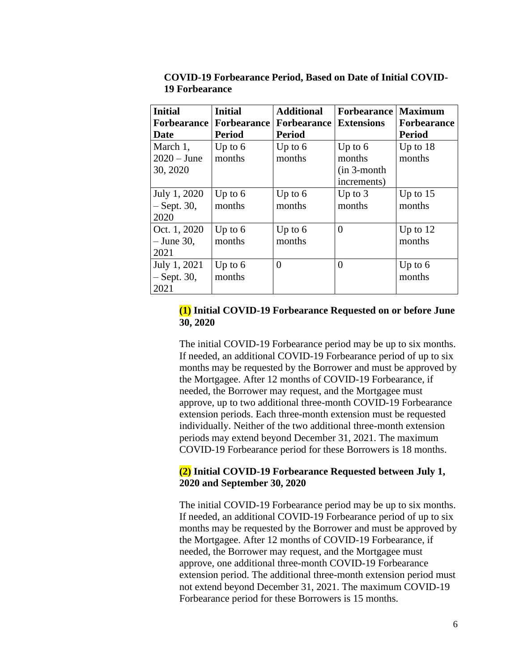| <b>Initial</b>     | <b>Initial</b>     | <b>Additional</b>  | <b>Forbearance</b> | <b>Maximum</b>     |
|--------------------|--------------------|--------------------|--------------------|--------------------|
| <b>Forbearance</b> | <b>Forbearance</b> | <b>Forbearance</b> | <b>Extensions</b>  | <b>Forbearance</b> |
| Date               | <b>Period</b>      | <b>Period</b>      |                    | <b>Period</b>      |
| March 1,           | Up to $6$          | Up to $6$          | Up to $6$          | Up to $18$         |
| $2020 - June$      | months             | months             | months             | months             |
| 30, 2020           |                    |                    | $(in 3-month)$     |                    |
|                    |                    |                    | increments)        |                    |
| July 1, 2020       | Up to $6$          | Up to $6$          | Up to $3$          | Up to $15$         |
| $-$ Sept. 30,      | months             | months             | months             | months             |
| 2020               |                    |                    |                    |                    |
| Oct. 1, 2020       | Up to $6$          | Up to $6$          | $\overline{0}$     | Up to $12$         |
| $-$ June 30,       | months             | months             |                    | months             |
| 2021               |                    |                    |                    |                    |
| July 1, 2021       | Up to $6$          | $\Omega$           | 0                  | Up to $6$          |
| $-$ Sept. 30,      | months             |                    |                    | months             |
| 2021               |                    |                    |                    |                    |

**COVID-19 Forbearance Period, Based on Date of Initial COVID-19 Forbearance**

## **(1) Initial COVID-19 Forbearance Requested on or before June 30, 2020**

The initial COVID-19 Forbearance period may be up to six months. If needed, an additional COVID-19 Forbearance period of up to six months may be requested by the Borrower and must be approved by the Mortgagee. After 12 months of COVID-19 Forbearance, if needed, the Borrower may request, and the Mortgagee must approve, up to two additional three-month COVID-19 Forbearance extension periods. Each three-month extension must be requested individually. Neither of the two additional three-month extension periods may extend beyond December 31, 2021. The maximum COVID-19 Forbearance period for these Borrowers is 18 months.

### **(2) Initial COVID-19 Forbearance Requested between July 1, 2020 and September 30, 2020**

The initial COVID-19 Forbearance period may be up to six months. If needed, an additional COVID-19 Forbearance period of up to six months may be requested by the Borrower and must be approved by the Mortgagee. After 12 months of COVID-19 Forbearance, if needed, the Borrower may request, and the Mortgagee must approve, one additional three-month COVID-19 Forbearance extension period. The additional three-month extension period must not extend beyond December 31, 2021. The maximum COVID-19 Forbearance period for these Borrowers is 15 months.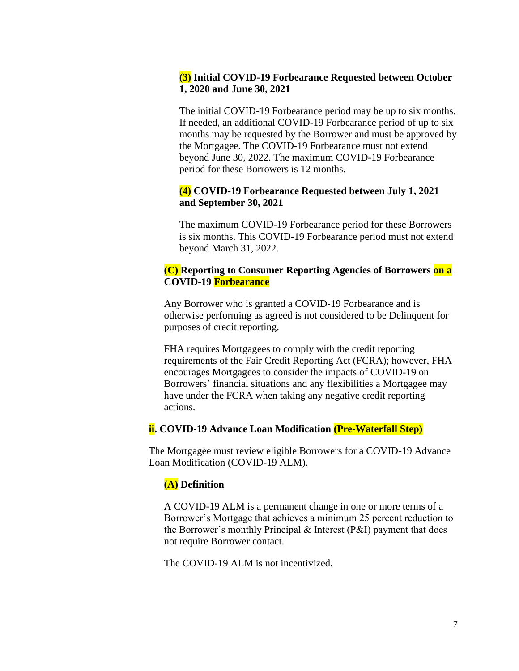## **(3) Initial COVID-19 Forbearance Requested between October 1, 2020 and June 30, 2021**

The initial COVID-19 Forbearance period may be up to six months. If needed, an additional COVID-19 Forbearance period of up to six months may be requested by the Borrower and must be approved by the Mortgagee. The COVID-19 Forbearance must not extend beyond June 30, 2022. The maximum COVID-19 Forbearance period for these Borrowers is 12 months.

## **(4) COVID-19 Forbearance Requested between July 1, 2021 and September 30, 2021**

The maximum COVID-19 Forbearance period for these Borrowers is six months. This COVID-19 Forbearance period must not extend beyond March 31, 2022.

## **(C) Reporting to Consumer Reporting Agencies of Borrowers on a COVID-19 Forbearance**

Any Borrower who is granted a COVID-19 Forbearance and is otherwise performing as agreed is not considered to be Delinquent for purposes of credit reporting.

FHA requires Mortgagees to comply with the credit reporting requirements of the Fair Credit Reporting Act (FCRA); however, FHA encourages Mortgagees to consider the impacts of COVID-19 on Borrowers' financial situations and any flexibilities a Mortgagee may have under the FCRA when taking any negative credit reporting actions.

## **ii. COVID-19 Advance Loan Modification (Pre-Waterfall Step)**

The Mortgagee must review eligible Borrowers for a COVID-19 Advance Loan Modification (COVID-19 ALM).

## **(A) Definition**

A COVID-19 ALM is a permanent change in one or more terms of a Borrower's Mortgage that achieves a minimum 25 percent reduction to the Borrower's monthly Principal & Interest (P&I) payment that does not require Borrower contact.

The COVID-19 ALM is not incentivized.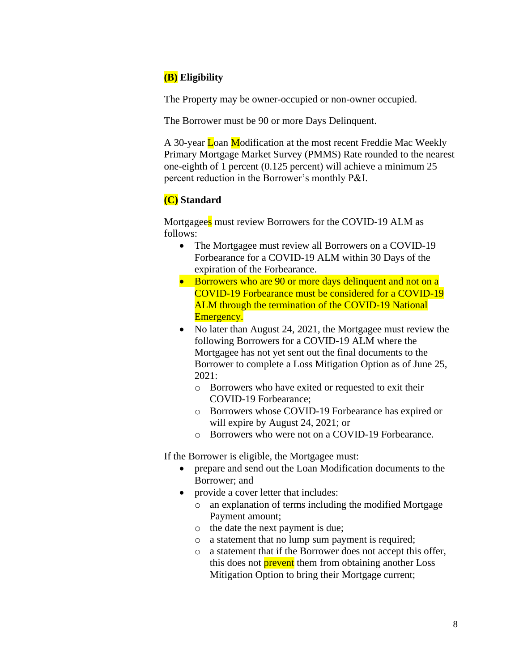# **(B) Eligibility**

The Property may be owner-occupied or non-owner occupied.

The Borrower must be 90 or more Days Delinquent.

A 30-year Loan Modification at the most recent Freddie Mac Weekly Primary Mortgage Market Survey (PMMS) Rate rounded to the nearest one-eighth of 1 percent (0.125 percent) will achieve a minimum 25 percent reduction in the Borrower's monthly P&I.

# **(C) Standard**

Mortgagees must review Borrowers for the COVID-19 ALM as follows:

- The Mortgagee must review all Borrowers on a COVID-19 Forbearance for a COVID-19 ALM within 30 Days of the expiration of the Forbearance.
- Borrowers who are 90 or more days delinquent and not on a COVID-19 Forbearance must be considered for a COVID-19 ALM through the termination of the COVID-19 National Emergency.
- No later than August 24, 2021, the Mortgagee must review the following Borrowers for a COVID-19 ALM where the Mortgagee has not yet sent out the final documents to the Borrower to complete a Loss Mitigation Option as of June 25, 2021:
	- o Borrowers who have exited or requested to exit their COVID-19 Forbearance;
	- o Borrowers whose COVID-19 Forbearance has expired or will expire by August 24, 2021; or
	- o Borrowers who were not on a COVID-19 Forbearance.

If the Borrower is eligible, the Mortgagee must:

- prepare and send out the Loan Modification documents to the Borrower; and
- provide a cover letter that includes:
	- o an explanation of terms including the modified Mortgage Payment amount;
	- o the date the next payment is due;
	- o a statement that no lump sum payment is required;
	- o a statement that if the Borrower does not accept this offer, this does not **prevent** them from obtaining another Loss Mitigation Option to bring their Mortgage current;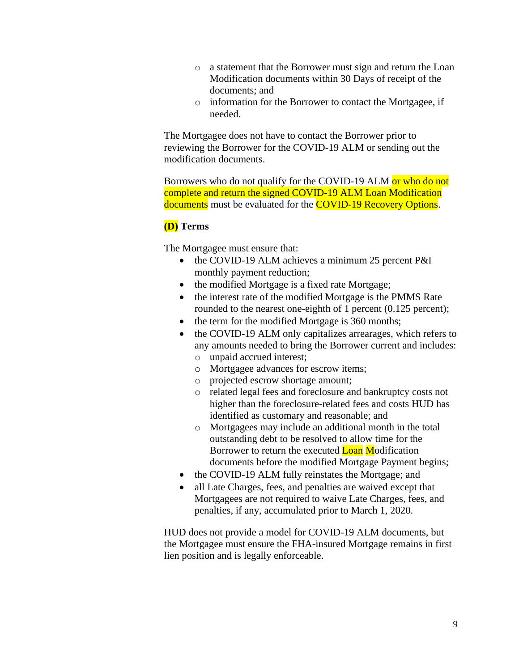- o a statement that the Borrower must sign and return the Loan Modification documents within 30 Days of receipt of the documents; and
- o information for the Borrower to contact the Mortgagee, if needed.

The Mortgagee does not have to contact the Borrower prior to reviewing the Borrower for the COVID-19 ALM or sending out the modification documents.

Borrowers who do not qualify for the COVID-19 ALM or who do not complete and return the signed COVID-19 ALM Loan Modification documents must be evaluated for the **COVID-19 Recovery Options**.

## **(D) Terms**

The Mortgagee must ensure that:

- the COVID-19 ALM achieves a minimum 25 percent P&I monthly payment reduction;
- the modified Mortgage is a fixed rate Mortgage;
- the interest rate of the modified Mortgage is the PMMS Rate rounded to the nearest one-eighth of 1 percent (0.125 percent);
- the term for the modified Mortgage is 360 months;
- the COVID-19 ALM only capitalizes arrearages, which refers to any amounts needed to bring the Borrower current and includes:
	- o unpaid accrued interest;
	- o Mortgagee advances for escrow items;
	- o projected escrow shortage amount;
	- o related legal fees and foreclosure and bankruptcy costs not higher than the foreclosure-related fees and costs HUD has identified as customary and reasonable; and
	- o Mortgagees may include an additional month in the total outstanding debt to be resolved to allow time for the Borrower to return the executed **Loan Modification** documents before the modified Mortgage Payment begins;
- the COVID-19 ALM fully reinstates the Mortgage; and
- all Late Charges, fees, and penalties are waived except that Mortgagees are not required to waive Late Charges, fees, and penalties, if any, accumulated prior to March 1, 2020.

HUD does not provide a model for COVID-19 ALM documents, but the Mortgagee must ensure the FHA-insured Mortgage remains in first lien position and is legally enforceable.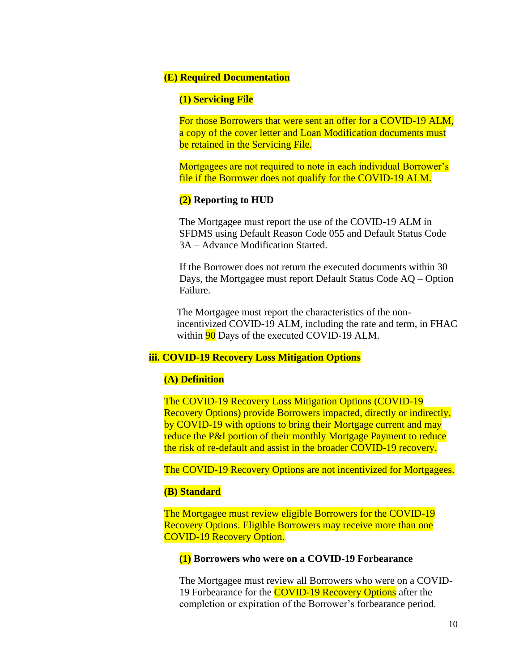#### **(E) Required Documentation**

#### **(1) Servicing File**

For those Borrowers that were sent an offer for a COVID-19 ALM, a copy of the cover letter and Loan Modification documents must be retained in the Servicing File.

Mortgagees are not required to note in each individual Borrower's file if the Borrower does not qualify for the COVID-19 ALM.

#### **(2) Reporting to HUD**

The Mortgagee must report the use of the COVID-19 ALM in SFDMS using Default Reason Code 055 and Default Status Code 3A – Advance Modification Started.

If the Borrower does not return the executed documents within 30 Days, the Mortgagee must report Default Status Code AQ – Option Failure.

The Mortgagee must report the characteristics of the nonincentivized COVID-19 ALM, including the rate and term, in FHAC within **90** Days of the executed COVID-19 ALM.

### **iii. COVID-19 Recovery Loss Mitigation Options**

#### **(A) Definition**

The COVID-19 Recovery Loss Mitigation Options (COVID-19 Recovery Options) provide Borrowers impacted, directly or indirectly, by COVID-19 with options to bring their Mortgage current and may reduce the P&I portion of their monthly Mortgage Payment to reduce the risk of re-default and assist in the broader COVID-19 recovery.

The COVID-19 Recovery Options are not incentivized for Mortgagees.

#### **(B) Standard**

The Mortgagee must review eligible Borrowers for the COVID-19 Recovery Options. Eligible Borrowers may receive more than one COVID-19 Recovery Option.

#### **(1) Borrowers who were on a COVID-19 Forbearance**

The Mortgagee must review all Borrowers who were on a COVID-19 Forbearance for the **COVID-19 Recovery Options** after the completion or expiration of the Borrower's forbearance period.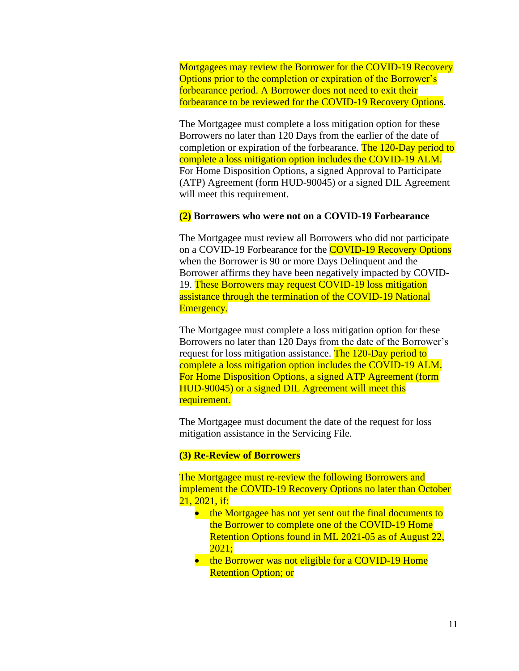Mortgagees may review the Borrower for the COVID-19 Recovery Options prior to the completion or expiration of the Borrower's forbearance period. A Borrower does not need to exit their forbearance to be reviewed for the COVID-19 Recovery Options.

The Mortgagee must complete a loss mitigation option for these Borrowers no later than 120 Days from the earlier of the date of completion or expiration of the forbearance. The 120-Day period to complete a loss mitigation option includes the COVID-19 ALM. For Home Disposition Options, a signed Approval to Participate (ATP) Agreement (form HUD-90045) or a signed DIL Agreement will meet this requirement.

#### **(2) Borrowers who were not on a COVID-19 Forbearance**

The Mortgagee must review all Borrowers who did not participate on a COVID-19 Forbearance for the COVID-19 Recovery Options when the Borrower is 90 or more Days Delinquent and the Borrower affirms they have been negatively impacted by COVID-19. These Borrowers may request COVID-19 loss mitigation assistance through the termination of the COVID-19 National Emergency.

The Mortgagee must complete a loss mitigation option for these Borrowers no later than 120 Days from the date of the Borrower's request for loss mitigation assistance. The 120-Day period to complete a loss mitigation option includes the COVID-19 ALM. For Home Disposition Options, a signed ATP Agreement (form HUD-90045) or a signed DIL Agreement will meet this requirement.

The Mortgagee must document the date of the request for loss mitigation assistance in the Servicing File.

#### **(3) Re-Review of Borrowers**

The Mortgagee must re-review the following Borrowers and implement the COVID-19 Recovery Options no later than October 21, 2021, if:

- the Mortgagee has not yet sent out the final documents to the Borrower to complete one of the COVID-19 Home Retention Options found in ML 2021-05 as of August 22, 2021;
- the Borrower was not eligible for a COVID-19 Home Retention Option; or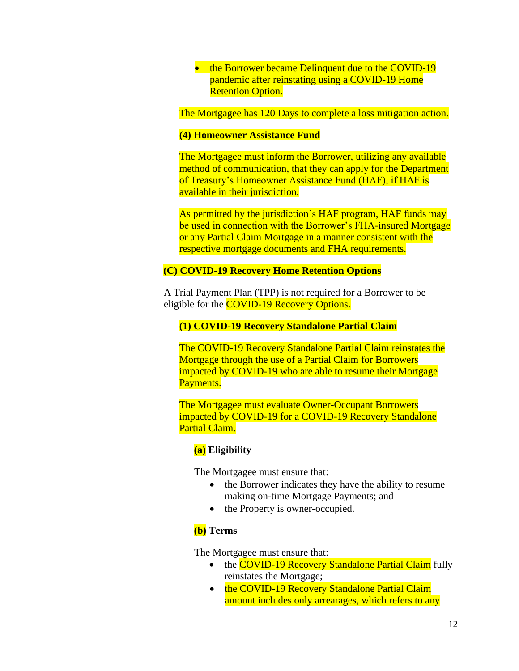• the Borrower became Delinquent due to the COVID-19 pandemic after reinstating using a COVID-19 Home **Retention Option.** 

The Mortgagee has 120 Days to complete a loss mitigation action.

#### **(4) Homeowner Assistance Fund**

The Mortgagee must inform the Borrower, utilizing any available method of communication, that they can apply for the Department of Treasury's Homeowner Assistance Fund (HAF), if HAF is available in their jurisdiction.

As permitted by the jurisdiction's HAF program, HAF funds may be used in connection with the Borrower's FHA-insured Mortgage or any Partial Claim Mortgage in a manner consistent with the respective mortgage documents and FHA requirements.

### **(C) COVID-19 Recovery Home Retention Options**

A Trial Payment Plan (TPP) is not required for a Borrower to be eligible for the **COVID-19 Recovery Options.** 

## **(1) COVID-19 Recovery Standalone Partial Claim**

The COVID-19 Recovery Standalone Partial Claim reinstates the Mortgage through the use of a Partial Claim for Borrowers impacted by COVID-19 who are able to resume their Mortgage Payments.

The Mortgagee must evaluate Owner-Occupant Borrowers impacted by COVID-19 for a COVID-19 Recovery Standalone Partial Claim.

### **(a) Eligibility**

The Mortgagee must ensure that:

- the Borrower indicates they have the ability to resume making on-time Mortgage Payments; and
- the Property is owner-occupied.

### **(b) Terms**

The Mortgagee must ensure that:

- the COVID-19 Recovery Standalone Partial Claim fully reinstates the Mortgage;
- the COVID-19 Recovery Standalone Partial Claim amount includes only arrearages, which refers to any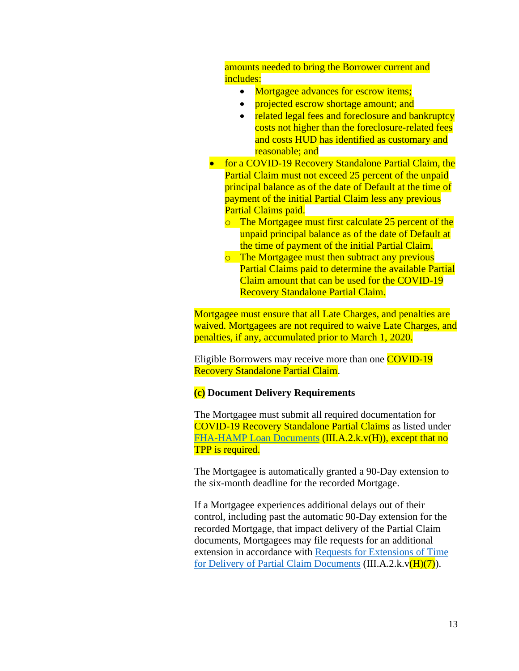amounts needed to bring the Borrower current and includes:

- Mortgagee advances for escrow items;
- projected escrow shortage amount; and
- related legal fees and foreclosure and bankruptcy costs not higher than the foreclosure-related fees and costs HUD has identified as customary and reasonable; and
- for a COVID-19 Recovery Standalone Partial Claim, the Partial Claim must not exceed 25 percent of the unpaid principal balance as of the date of Default at the time of payment of the initial Partial Claim less any previous Partial Claims paid.
	- o The Mortgagee must first calculate 25 percent of the unpaid principal balance as of the date of Default at the time of payment of the initial Partial Claim.
	- o The Mortgagee must then subtract any previous Partial Claims paid to determine the available Partial Claim amount that can be used for the COVID-19 Recovery Standalone Partial Claim.

Mortgagee must ensure that all Late Charges, and penalties are waived. Mortgagees are not required to waive Late Charges, and penalties, if any, accumulated prior to March 1, 2020.

Eligible Borrowers may receive more than one COVID-19 Recovery Standalone Partial Claim.

## **(c) Document Delivery Requirements**

The Mortgagee must submit all required documentation for COVID-19 Recovery Standalone Partial Claims as listed under [FHA-HAMP Loan Documents](https://www.hud.gov/program_offices/administration/hudclips/handbooks/hsgh) (III.A.2.k.v(H)), except that no TPP is required.

The Mortgagee is automatically granted a 90-Day extension to the six-month deadline for the recorded Mortgage.

If a Mortgagee experiences additional delays out of their control, including past the automatic 90-Day extension for the recorded Mortgage, that impact delivery of the Partial Claim documents, Mortgagees may file requests for an additional extension in accordance with [Requests for Extensions of Time](https://www.hud.gov/program_offices/administration/hudclips/handbooks/hsgh)  [for Delivery of Partial Claim Documents](https://www.hud.gov/program_offices/administration/hudclips/handbooks/hsgh)  $(III.A.2.k.v(H)(7))$ .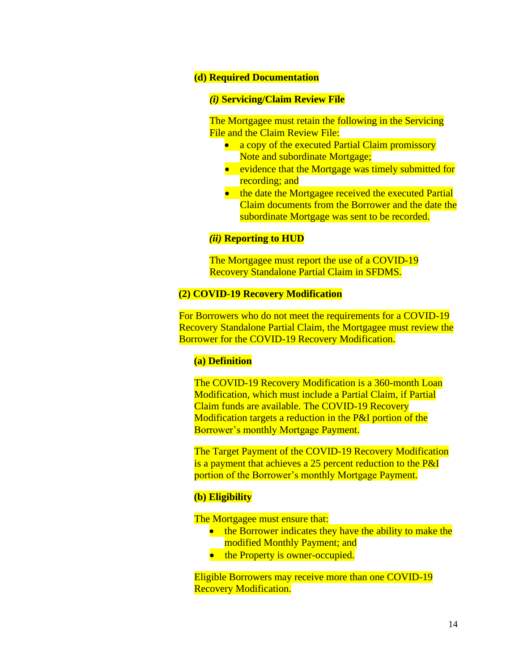#### **(d) Required Documentation**

#### *(i)* **Servicing/Claim Review File**

The Mortgagee must retain the following in the Servicing File and the Claim Review File:

- a copy of the executed Partial Claim promissory Note and subordinate Mortgage;
- evidence that the Mortgage was timely submitted for recording; and
- the date the Mortgagee received the executed Partial Claim documents from the Borrower and the date the subordinate Mortgage was sent to be recorded.

## *(ii)* **Reporting to HUD**

The Mortgagee must report the use of a COVID-19 Recovery Standalone Partial Claim in SFDMS.

### **(2) COVID-19 Recovery Modification**

For Borrowers who do not meet the requirements for a COVID-19 Recovery Standalone Partial Claim, the Mortgagee must review the Borrower for the COVID-19 Recovery Modification.

#### **(a) Definition**

The COVID-19 Recovery Modification is a 360-month Loan Modification, which must include a Partial Claim, if Partial Claim funds are available. The COVID-19 Recovery Modification targets a reduction in the P&I portion of the Borrower's monthly Mortgage Payment.

The Target Payment of the COVID-19 Recovery Modification is a payment that achieves a 25 percent reduction to the P&I portion of the Borrower's monthly Mortgage Payment.

#### **(b) Eligibility**

The Mortgagee must ensure that:

- the Borrower indicates they have the ability to make the modified Monthly Payment; and
- the Property is owner-occupied.

Eligible Borrowers may receive more than one COVID-19 Recovery Modification.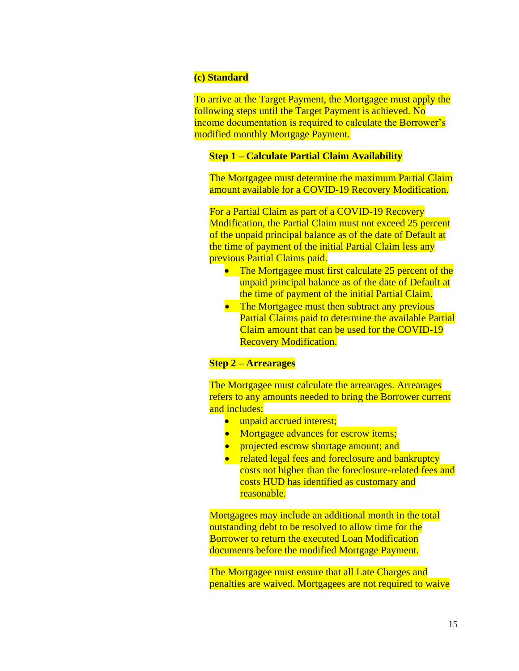#### **(c) Standard**

To arrive at the Target Payment, the Mortgagee must apply the following steps until the Target Payment is achieved. No income documentation is required to calculate the Borrower's modified monthly Mortgage Payment.

### **Step 1 – Calculate Partial Claim Availability**

The Mortgagee must determine the maximum Partial Claim amount available for a COVID-19 Recovery Modification.

For a Partial Claim as part of a COVID-19 Recovery Modification, the Partial Claim must not exceed 25 percent of the unpaid principal balance as of the date of Default at the time of payment of the initial Partial Claim less any previous Partial Claims paid.

- The Mortgagee must first calculate 25 percent of the unpaid principal balance as of the date of Default at the time of payment of the initial Partial Claim.
- The Mortgagee must then subtract any previous Partial Claims paid to determine the available Partial Claim amount that can be used for the COVID-19 Recovery Modification.

## **Step 2 – Arrearages**

The Mortgagee must calculate the arrearages. Arrearages refers to any amounts needed to bring the Borrower current and includes:

- unpaid accrued interest;
- Mortgagee advances for escrow items;
- projected escrow shortage amount; and
- related legal fees and foreclosure and bankruptcy costs not higher than the foreclosure-related fees and costs HUD has identified as customary and reasonable.

Mortgagees may include an additional month in the total outstanding debt to be resolved to allow time for the Borrower to return the executed Loan Modification documents before the modified Mortgage Payment.

The Mortgagee must ensure that all Late Charges and penalties are waived. Mortgagees are not required to waive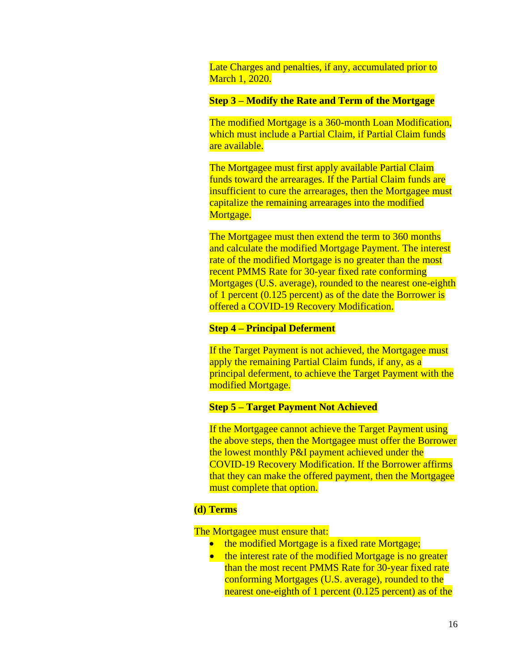Late Charges and penalties, if any, accumulated prior to March 1, 2020.

#### **Step 3 – Modify the Rate and Term of the Mortgage**

The modified Mortgage is a 360-month Loan Modification, which must include a Partial Claim, if Partial Claim funds are available.

The Mortgagee must first apply available Partial Claim funds toward the arrearages. If the Partial Claim funds are insufficient to cure the arrearages, then the Mortgagee must capitalize the remaining arrearages into the modified Mortgage.

The Mortgagee must then extend the term to 360 months and calculate the modified Mortgage Payment. The interest rate of the modified Mortgage is no greater than the most recent PMMS Rate for 30-year fixed rate conforming Mortgages (U.S. average), rounded to the nearest one-eighth of 1 percent (0.125 percent) as of the date the Borrower is offered a COVID-19 Recovery Modification.

### **Step 4 – Principal Deferment**

If the Target Payment is not achieved, the Mortgagee must apply the remaining Partial Claim funds, if any, as a principal deferment, to achieve the Target Payment with the modified Mortgage.

## **Step 5 – Target Payment Not Achieved**

If the Mortgagee cannot achieve the Target Payment using the above steps, then the Mortgagee must offer the Borrower the lowest monthly P&I payment achieved under the COVID-19 Recovery Modification. If the Borrower affirms that they can make the offered payment, then the Mortgagee must complete that option.

#### **(d) Terms**

The Mortgagee must ensure that:

- the modified Mortgage is a fixed rate Mortgage;
- the interest rate of the modified Mortgage is no greater than the most recent PMMS Rate for 30-year fixed rate conforming Mortgages (U.S. average), rounded to the nearest one-eighth of 1 percent (0.125 percent) as of the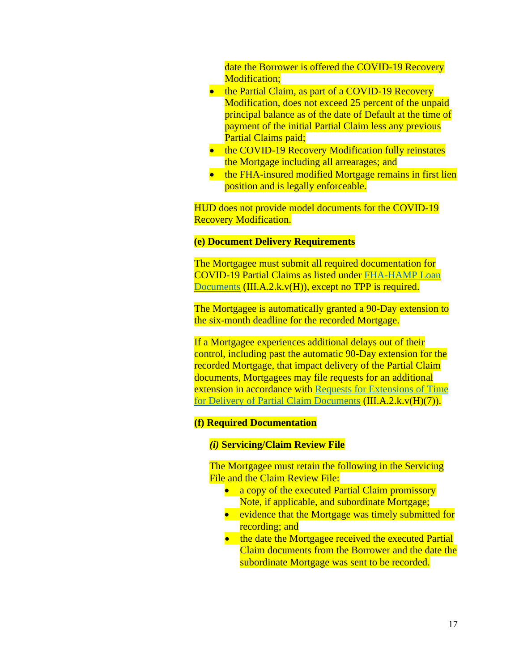date the Borrower is offered the COVID-19 Recovery Modification;

- the Partial Claim, as part of a COVID-19 Recovery Modification, does not exceed 25 percent of the unpaid principal balance as of the date of Default at the time of payment of the initial Partial Claim less any previous Partial Claims paid;
- the COVID-19 Recovery Modification fully reinstates the Mortgage including all arrearages; and
- the FHA-insured modified Mortgage remains in first lien position and is legally enforceable.

HUD does not provide model documents for the COVID-19 Recovery Modification.

#### **(e) Document Delivery Requirements**

The Mortgagee must submit all required documentation for COVID-19 Partial Claims as listed under [FHA-HAMP Loan](https://www.hud.gov/program_offices/administration/hudclips/handbooks/hsgh)  [Documents](https://www.hud.gov/program_offices/administration/hudclips/handbooks/hsgh) (III.A.2.k.v(H)), except no TPP is required.

The Mortgagee is automatically granted a 90-Day extension to the six-month deadline for the recorded Mortgage.

If a Mortgagee experiences additional delays out of their control, including past the automatic 90-Day extension for the recorded Mortgage, that impact delivery of the Partial Claim documents, Mortgagees may file requests for an additional extension in accordance with Requests for Extensions of Time [for Delivery of Partial Claim Documents](https://www.hud.gov/program_offices/administration/hudclips/handbooks/hsgh) (III.A.2.k.v(H)(7)).

#### **(f) Required Documentation**

### *(i)* **Servicing/Claim Review File**

The Mortgagee must retain the following in the Servicing File and the Claim Review File:

- a copy of the executed Partial Claim promissory Note, if applicable, and subordinate Mortgage;
- evidence that the Mortgage was timely submitted for recording; and
- the date the Mortgagee received the executed Partial Claim documents from the Borrower and the date the subordinate Mortgage was sent to be recorded.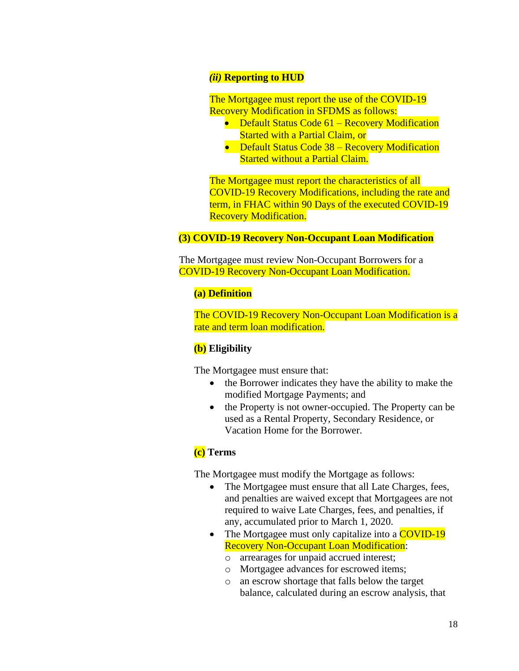## *(ii)* **Reporting to HUD**

The Mortgagee must report the use of the COVID-19 Recovery Modification in SFDMS as follows:

- Default Status Code 61 Recovery Modification Started with a Partial Claim, or
- Default Status Code 38 Recovery Modification Started without a Partial Claim.

The Mortgagee must report the characteristics of all COVID-19 Recovery Modifications, including the rate and term, in FHAC within 90 Days of the executed COVID-19 Recovery Modification.

## **(3) COVID-19 Recovery Non-Occupant Loan Modification**

The Mortgagee must review Non-Occupant Borrowers for a COVID-19 Recovery Non-Occupant Loan Modification.

#### **(a) Definition**

The COVID-19 Recovery Non-Occupant Loan Modification is a rate and term loan modification.

### **(b) Eligibility**

The Mortgagee must ensure that:

- the Borrower indicates they have the ability to make the modified Mortgage Payments; and
- the Property is not owner-occupied. The Property can be used as a Rental Property, Secondary Residence, or Vacation Home for the Borrower.

## **(c) Terms**

The Mortgagee must modify the Mortgage as follows:

- The Mortgagee must ensure that all Late Charges, fees, and penalties are waived except that Mortgagees are not required to waive Late Charges, fees, and penalties, if any, accumulated prior to March 1, 2020.
- The Mortgagee must only capitalize into a **COVID-19** Recovery Non-Occupant Loan Modification:
	- o arrearages for unpaid accrued interest;
	- o Mortgagee advances for escrowed items;
	- o an escrow shortage that falls below the target balance, calculated during an escrow analysis, that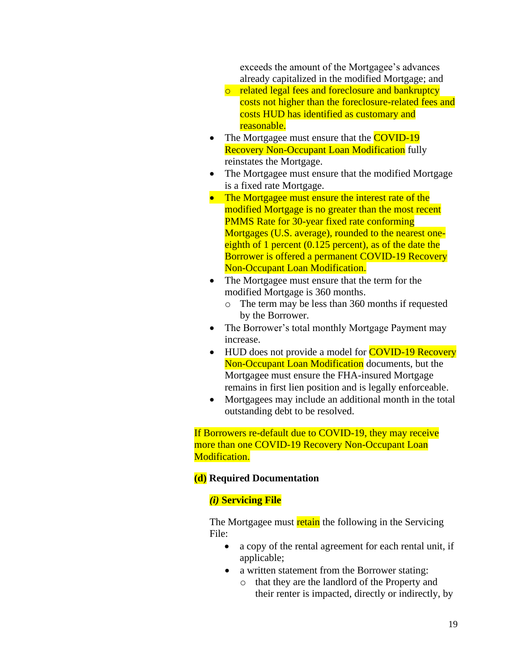exceeds the amount of the Mortgagee's advances already capitalized in the modified Mortgage; and

- o related legal fees and foreclosure and bankruptcy costs not higher than the foreclosure-related fees and costs HUD has identified as customary and reasonable.
- The Mortgagee must ensure that the **COVID-19 Recovery Non-Occupant Loan Modification** fully reinstates the Mortgage.
- The Mortgagee must ensure that the modified Mortgage is a fixed rate Mortgage.
- The Mortgagee must ensure the interest rate of the modified Mortgage is no greater than the most recent PMMS Rate for 30-year fixed rate conforming Mortgages (U.S. average), rounded to the nearest oneeighth of 1 percent (0.125 percent), as of the date the Borrower is offered a permanent COVID-19 Recovery Non-Occupant Loan Modification.
- The Mortgagee must ensure that the term for the modified Mortgage is 360 months.
	- o The term may be less than 360 months if requested by the Borrower.
- The Borrower's total monthly Mortgage Payment may increase.
- HUD does not provide a model for **COVID-19 Recovery** Non-Occupant Loan Modification documents, but the Mortgagee must ensure the FHA-insured Mortgage remains in first lien position and is legally enforceable.
- Mortgagees may include an additional month in the total outstanding debt to be resolved.

If Borrowers re-default due to COVID-19, they may receive more than one COVID-19 Recovery Non-Occupant Loan Modification.

## **(d) Required Documentation**

## *(i)* **Servicing File**

The Mortgagee must retain the following in the Servicing File:

- a copy of the rental agreement for each rental unit, if applicable;
- a written statement from the Borrower stating:
	- o that they are the landlord of the Property and their renter is impacted, directly or indirectly, by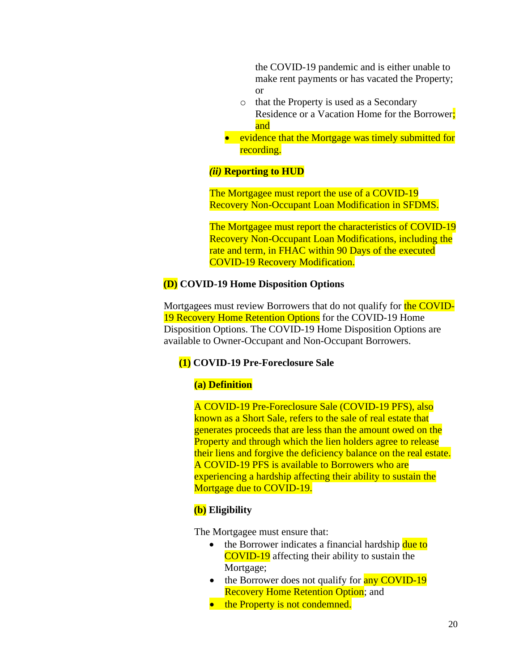the COVID-19 pandemic and is either unable to make rent payments or has vacated the Property; or

- o that the Property is used as a Secondary Residence or a Vacation Home for the Borrower; and
- evidence that the Mortgage was timely submitted for recording.

## *(ii)* **Reporting to HUD**

The Mortgagee must report the use of a COVID-19 Recovery Non-Occupant Loan Modification in SFDMS.

The Mortgagee must report the characteristics of COVID-19 Recovery Non-Occupant Loan Modifications, including the rate and term, in FHAC within 90 Days of the executed COVID-19 Recovery Modification.

#### **(D) COVID-19 Home Disposition Options**

Mortgagees must review Borrowers that do not qualify for the COVID-19 Recovery Home Retention Options for the COVID-19 Home Disposition Options. The COVID-19 Home Disposition Options are available to Owner-Occupant and Non-Occupant Borrowers.

### **(1) COVID-19 Pre-Foreclosure Sale**

### **(a) Definition**

A COVID-19 Pre-Foreclosure Sale (COVID-19 PFS), also known as a Short Sale, refers to the sale of real estate that generates proceeds that are less than the amount owed on the Property and through which the lien holders agree to release their liens and forgive the deficiency balance on the real estate. A COVID-19 PFS is available to Borrowers who are experiencing a hardship affecting their ability to sustain the Mortgage due to COVID-19.

### **(b) Eligibility**

The Mortgagee must ensure that:

- the Borrower indicates a financial hardship due to COVID-19 affecting their ability to sustain the Mortgage;
- the Borrower does not qualify for any COVID-19 **Recovery Home Retention Option; and**
- the Property is not condemned.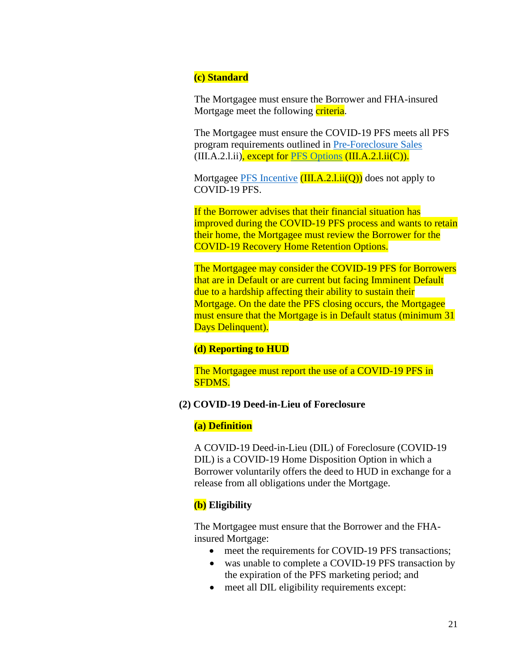## **(c) Standard**

The Mortgagee must ensure the Borrower and FHA-insured Mortgage meet the following criteria.

The Mortgagee must ensure the COVID-19 PFS meets all PFS program requirements outlined in [Pre-Foreclosure Sales](https://www.hud.gov/program_offices/administration/hudclips/handbooks/hsgh)  $(III.A.2.1.ii)$ , except for [PFS Options](https://www.hud.gov/program_offices/administration/hudclips/handbooks/hsgh)  $(III.A.2.1.ii(C))$ .

Mortgagee [PFS Incentive](https://www.hud.gov/program_offices/administration/hudclips/handbooks/hsgh)  $(III.A.2.1.ii(O))$  does not apply to COVID-19 PFS.

If the Borrower advises that their financial situation has improved during the COVID-19 PFS process and wants to retain their home, the Mortgagee must review the Borrower for the COVID-19 Recovery Home Retention Options.

The Mortgagee may consider the COVID-19 PFS for Borrowers that are in Default or are current but facing Imminent Default due to a hardship affecting their ability to sustain their Mortgage. On the date the PFS closing occurs, the Mortgagee must ensure that the Mortgage is in Default status (minimum 31 Days Delinquent).

### **(d) Reporting to HUD**

The Mortgagee must report the use of a COVID-19 PFS in SFDMS.

### **(2) COVID-19 Deed-in-Lieu of Foreclosure**

### **(a) Definition**

A COVID-19 Deed-in-Lieu (DIL) of Foreclosure (COVID-19 DIL) is a COVID-19 Home Disposition Option in which a Borrower voluntarily offers the deed to HUD in exchange for a release from all obligations under the Mortgage.

# **(b) Eligibility**

The Mortgagee must ensure that the Borrower and the FHAinsured Mortgage:

- meet the requirements for COVID-19 PFS transactions;
- was unable to complete a COVID-19 PFS transaction by the expiration of the PFS marketing period; and
- meet all DIL eligibility requirements except: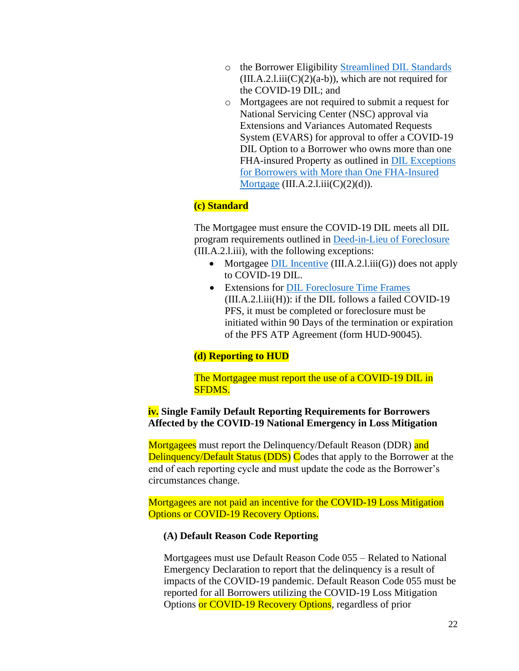- o the Borrower Eligibility [Streamlined DIL Standards](https://www.hud.gov/program_offices/administration/hudclips/handbooks/hsgh)  $(III.A.2.I.iii(C)(2)(a-b))$ , which are not required for the COVID-19 DIL; and
- o Mortgagees are not required to submit a request for National Servicing Center (NSC) approval via Extensions and Variances Automated Requests System (EVARS) for approval to offer a COVID-19 DIL Option to a Borrower who owns more than one FHA-insured Property as outlined in [DIL Exceptions](https://www.hud.gov/program_offices/administration/hudclips/handbooks/hsgh)  [for Borrowers with More than One FHA-Insured](https://www.hud.gov/program_offices/administration/hudclips/handbooks/hsgh)  [Mortgage](https://www.hud.gov/program_offices/administration/hudclips/handbooks/hsgh) (III.A.2.l.iii $(C)(2)(d)$ ).

### **(c) Standard**

The Mortgagee must ensure the COVID-19 DIL meets all DIL program requirements outlined in [Deed-in-Lieu of Foreclosure](https://www.hud.gov/program_offices/administration/hudclips/handbooks/hsgh) (III.A.2.l.iii), with the following exceptions:

- Mortgagee [DIL Incentive](https://www.hud.gov/program_offices/administration/hudclips/handbooks/hsgh)  $(III.A.2.1.iii(G))$  does not apply to COVID-19 DIL.
- Extensions for DIL [Foreclosure Time Frames](https://www.hud.gov/program_offices/administration/hudclips/handbooks/hsgh) (III.A.2.l.iii(H)): if the DIL follows a failed COVID-19 PFS, it must be completed or foreclosure must be initiated within 90 Days of the termination or expiration of the PFS ATP Agreement (form HUD-90045).

### **(d) Reporting to HUD**

The Mortgagee must report the use of a COVID-19 DIL in SFDMS.

## **iv. Single Family Default Reporting Requirements for Borrowers Affected by the COVID-19 National Emergency in Loss Mitigation**

Mortgagees must report the Delinquency/Default Reason (DDR) and Delinquency/Default Status (DDS) Codes that apply to the Borrower at the end of each reporting cycle and must update the code as the Borrower's circumstances change.

Mortgagees are not paid an incentive for the COVID-19 Loss Mitigation Options or COVID-19 Recovery Options.

#### **(A) Default Reason Code Reporting**

Mortgagees must use Default Reason Code 055 – Related to National Emergency Declaration to report that the delinquency is a result of impacts of the COVID-19 pandemic. Default Reason Code 055 must be reported for all Borrowers utilizing the COVID-19 Loss Mitigation Options or COVID-19 Recovery Options, regardless of prior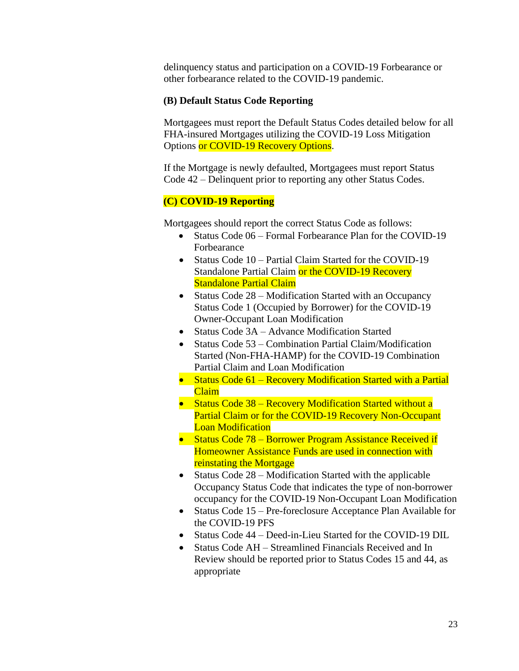delinquency status and participation on a COVID-19 Forbearance or other forbearance related to the COVID-19 pandemic.

#### **(B) Default Status Code Reporting**

Mortgagees must report the Default Status Codes detailed below for all FHA-insured Mortgages utilizing the COVID-19 Loss Mitigation Options or COVID-19 Recovery Options.

If the Mortgage is newly defaulted, Mortgagees must report Status Code 42 – Delinquent prior to reporting any other Status Codes.

### **(C) COVID-19 Reporting**

Mortgagees should report the correct Status Code as follows:

- Status Code 06 Formal Forbearance Plan for the COVID-19 Forbearance
- Status Code 10 Partial Claim Started for the COVID-19 Standalone Partial Claim or the COVID-19 Recovery Standalone Partial Claim
- Status Code 28 Modification Started with an Occupancy Status Code 1 (Occupied by Borrower) for the COVID-19 Owner-Occupant Loan Modification
- Status Code 3A Advance Modification Started
- Status Code 53 Combination Partial Claim/Modification Started (Non-FHA-HAMP) for the COVID-19 Combination Partial Claim and Loan Modification
- Status Code 61 Recovery Modification Started with a Partial Claim
- Status Code 38 Recovery Modification Started without a Partial Claim or for the COVID-19 Recovery Non-Occupant Loan Modification
- Status Code 78 Borrower Program Assistance Received if Homeowner Assistance Funds are used in connection with reinstating the Mortgage
- Status Code 28 Modification Started with the applicable Occupancy Status Code that indicates the type of non-borrower occupancy for the COVID-19 Non-Occupant Loan Modification
- Status Code 15 Pre-foreclosure Acceptance Plan Available for the COVID-19 PFS
- Status Code 44 Deed-in-Lieu Started for the COVID-19 DIL
- Status Code AH Streamlined Financials Received and In Review should be reported prior to Status Codes 15 and 44, as appropriate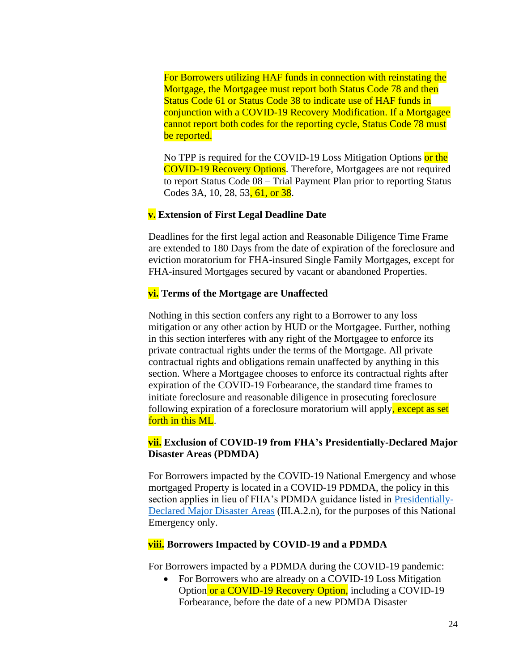For Borrowers utilizing HAF funds in connection with reinstating the Mortgage, the Mortgagee must report both Status Code 78 and then Status Code 61 or Status Code 38 to indicate use of HAF funds in conjunction with a COVID-19 Recovery Modification. If a Mortgagee cannot report both codes for the reporting cycle, Status Code 78 must be reported.

No TPP is required for the COVID-19 Loss Mitigation Options or the COVID-19 Recovery Options. Therefore, Mortgagees are not required to report Status Code 08 – Trial Payment Plan prior to reporting Status Codes 3A, 10, 28, 53, 61, or 38.

### **v. Extension of First Legal Deadline Date**

Deadlines for the first legal action and Reasonable Diligence Time Frame are extended to 180 Days from the date of expiration of the foreclosure and eviction moratorium for FHA-insured Single Family Mortgages, except for FHA-insured Mortgages secured by vacant or abandoned Properties.

## **vi. Terms of the Mortgage are Unaffected**

Nothing in this section confers any right to a Borrower to any loss mitigation or any other action by HUD or the Mortgagee. Further, nothing in this section interferes with any right of the Mortgagee to enforce its private contractual rights under the terms of the Mortgage. All private contractual rights and obligations remain unaffected by anything in this section. Where a Mortgagee chooses to enforce its contractual rights after expiration of the COVID-19 Forbearance, the standard time frames to initiate foreclosure and reasonable diligence in prosecuting foreclosure following expiration of a foreclosure moratorium will apply, except as set forth in this ML.

## **vii. Exclusion of COVID-19 from FHA's Presidentially-Declared Major Disaster Areas (PDMDA)**

For Borrowers impacted by the COVID-19 National Emergency and whose mortgaged Property is located in a COVID-19 PDMDA, the policy in this section applies in lieu of FHA's PDMDA guidance listed in [Presidentially-](https://www.hud.gov/program_offices/administration/hudclips/handbooks/hsgh)[Declared Major Disaster Areas](https://www.hud.gov/program_offices/administration/hudclips/handbooks/hsgh) (III.A.2.n), for the purposes of this National Emergency only.

### **viii. Borrowers Impacted by COVID-19 and a PDMDA**

For Borrowers impacted by a PDMDA during the COVID-19 pandemic:

• For Borrowers who are already on a COVID-19 Loss Mitigation Option or a COVID-19 Recovery Option, including a COVID-19 Forbearance, before the date of a new PDMDA Disaster